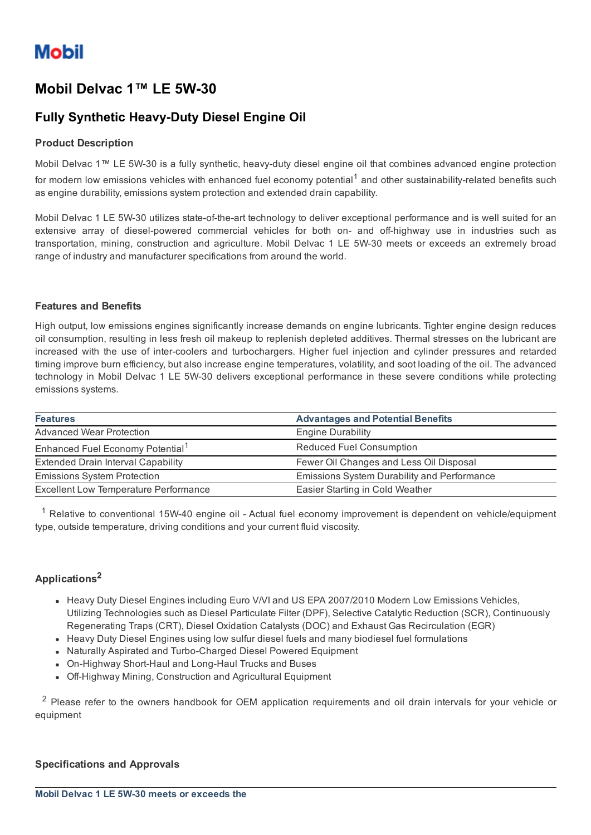# Mobil Delvac 1™ LE 5W-30

## **Fully Synthetic Heavy-Duty Diesel Engine Oil**

#### Product Description

Mobil Delvac 1™ LE 5W-30 is a fully synthetic, heavy-duty diesel engine oil that combines advanced engine protection for modern low emissions vehicles with enhanced fuel economy potential<sup>1</sup> and other sustainability-related benefits such as engine durability, emissions system protection and extended drain capability.

Mobil Delvac 1 LE 5W-30 utilizes state-of-the-art technology to deliver exceptional performance and is well suited for an extensive array of diesel-powered commercial vehicles for both on- and off-highway use in industries such as transportation, mining, construction and agriculture. Mobil Delvac 1 LE 5W-30 meets or exceeds an extremely broad range of industry and manufacturer specifications from around the world.

#### Features and Benefits

High output, low emissions engines significantly increase demands on engine lubricants. Tighter engine design reduces oil consumption, resulting in less fresh oil makeup to replenish depleted additives. Thermal stresses on the lubricant are increased with the use of intercoolers and turbochargers. Higher fuel injection and cylinder pressures and retarded timing improve burn efficiency, but also increase engine temperatures, volatility, and soot loading of the oil. The advanced technology in Mobil Delvac 1 LE 5W-30 delivers exceptional performance in these severe conditions while protecting emissions systems.

| <b>Features</b>                              | <b>Advantages and Potential Benefits</b>    |
|----------------------------------------------|---------------------------------------------|
| <b>Advanced Wear Protection</b>              | <b>Engine Durability</b>                    |
| Enhanced Fuel Economy Potential <sup>1</sup> | <b>Reduced Fuel Consumption</b>             |
| <b>Extended Drain Interval Capability</b>    | Fewer Oil Changes and Less Oil Disposal     |
| <b>Emissions System Protection</b>           | Emissions System Durability and Performance |
| <b>Excellent Low Temperature Performance</b> | Easier Starting in Cold Weather             |

 $1$  Relative to conventional 15W-40 engine oil - Actual fuel economy improvement is dependent on vehicle/equipment type, outside temperature, driving conditions and your current fluid viscosity.

#### Applications<sup>2</sup>

- Heavy Duty Diesel Engines including Euro V/VI and US EPA 2007/2010 Modern Low Emissions Vehicles, Utilizing Technologies such as Diesel Particulate Filter (DPF), Selective Catalytic Reduction (SCR), Continuously Regenerating Traps (CRT), Diesel Oxidation Catalysts (DOC) and Exhaust Gas Recirculation (EGR)
- Heavy Duty Diesel Engines using low sulfur diesel fuels and many biodiesel fuel formulations
- Naturally Aspirated and Turbo-Charged Diesel Powered Equipment
- On-Highway Short-Haul and Long-Haul Trucks and Buses
- Off-Highway Mining, Construction and Agricultural Equipment

<sup>2</sup> Please refer to the owners handbook for OEM application requirements and oil drain intervals for your vehicle or equipment

#### Specifications and Approvals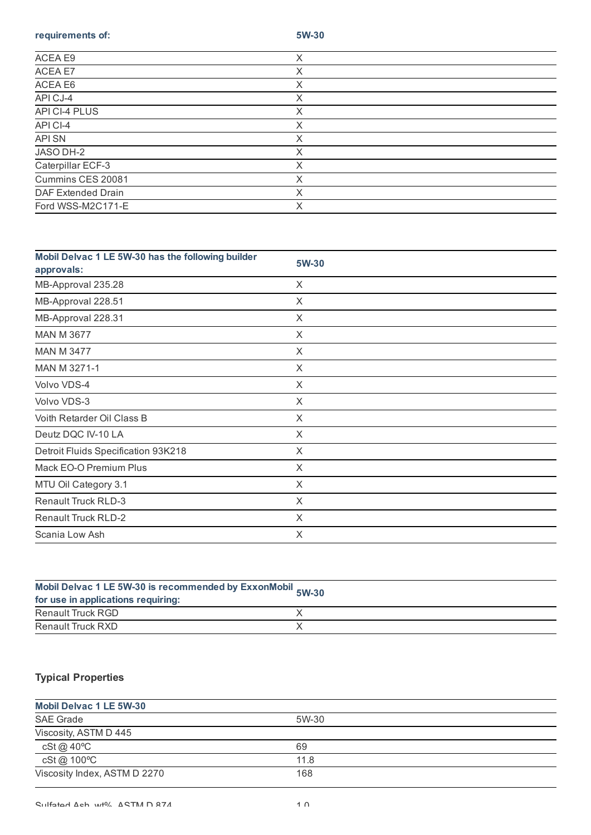requirements of: 5W-30

| ACEA E9            | X      |  |
|--------------------|--------|--|
| ACEA E7            | X      |  |
| ACEA E6            | Χ      |  |
| API CJ-4           | X      |  |
| API CI-4 PLUS      | Χ      |  |
| API CI-4           | X      |  |
| <b>API SN</b>      | Χ      |  |
| JASO DH-2          | Χ      |  |
| Caterpillar ECF-3  | Χ      |  |
| Cummins CES 20081  | Χ      |  |
| DAF Extended Drain | ✓<br>∧ |  |
| Ford WSS-M2C171-E  | Χ      |  |
|                    |        |  |

| Mobil Delvac 1 LE 5W-30 has the following builder<br>approvals: | 5W-30 |
|-----------------------------------------------------------------|-------|
| MB-Approval 235.28                                              | X     |
| MB-Approval 228.51                                              | X     |
| MB-Approval 228.31                                              | X     |
| <b>MAN M 3677</b>                                               | X     |
| <b>MAN M 3477</b>                                               | X     |
| MAN M 3271-1                                                    | X     |
| Volvo VDS-4                                                     | X     |
| Volvo VDS-3                                                     | X     |
| Voith Retarder Oil Class B                                      | X     |
| Deutz DQC IV-10 LA                                              | X     |
| Detroit Fluids Specification 93K218                             | X     |
| Mack EO-O Premium Plus                                          | X     |
| MTU Oil Category 3.1                                            | X     |
| <b>Renault Truck RLD-3</b>                                      | X     |
| <b>Renault Truck RLD-2</b>                                      | X     |
| Scania Low Ash                                                  | X     |

| Mobil Delvac 1 LE 5W-30 is recommended by ExxonMobil 5W-30<br>for use in applications requiring: |  |
|--------------------------------------------------------------------------------------------------|--|
| Renault Truck RGD                                                                                |  |
| Renault Truck RXD                                                                                |  |

### Typical Properties

| <b>Mobil Delvac 1 LE 5W-30</b> |       |  |
|--------------------------------|-------|--|
| <b>SAE Grade</b>               | 5W-30 |  |
| Viscosity, ASTM D 445          |       |  |
| cSt @ 40°C                     | 69    |  |
| cSt @ 100°C                    | 11.8  |  |
| Viscosity Index, ASTM D 2270   | 168   |  |